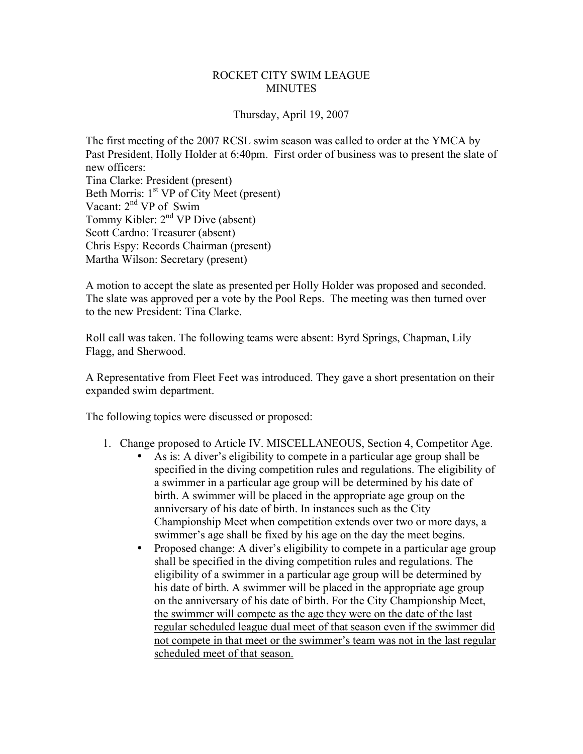## ROCKET CITY SWIM LEAGUE **MINUTES**

## Thursday, April 19, 2007

The first meeting of the 2007 RCSL swim season was called to order at the YMCA by Past President, Holly Holder at 6:40pm. First order of business was to present the slate of new officers: Tina Clarke: President (present) Beth Morris: 1<sup>st</sup> VP of City Meet (present) Vacant: 2<sup>nd</sup> VP of Swim Tommy Kibler:  $2<sup>nd</sup> VP$  Dive (absent) Scott Cardno: Treasurer (absent) Chris Espy: Records Chairman (present) Martha Wilson: Secretary (present)

A motion to accept the slate as presented per Holly Holder was proposed and seconded. The slate was approved per a vote by the Pool Reps. The meeting was then turned over to the new President: Tina Clarke.

Roll call was taken. The following teams were absent: Byrd Springs, Chapman, Lily Flagg, and Sherwood.

A Representative from Fleet Feet was introduced. They gave a short presentation on their expanded swim department.

The following topics were discussed or proposed:

- 1. Change proposed to Article IV. MISCELLANEOUS, Section 4, Competitor Age.
	- As is: A diver's eligibility to compete in a particular age group shall be specified in the diving competition rules and regulations. The eligibility of a swimmer in a particular age group will be determined by his date of birth. A swimmer will be placed in the appropriate age group on the anniversary of his date of birth. In instances such as the City Championship Meet when competition extends over two or more days, a swimmer's age shall be fixed by his age on the day the meet begins.
	- Proposed change: A diver's eligibility to compete in a particular age group shall be specified in the diving competition rules and regulations. The eligibility of a swimmer in a particular age group will be determined by his date of birth. A swimmer will be placed in the appropriate age group on the anniversary of his date of birth. For the City Championship Meet, the swimmer will compete as the age they were on the date of the last regular scheduled league dual meet of that season even if the swimmer did not compete in that meet or the swimmer's team was not in the last regular scheduled meet of that season.